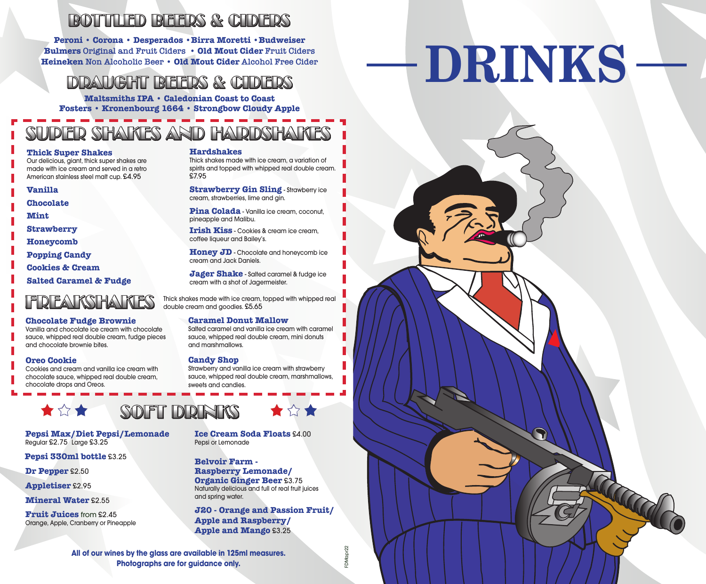### BOTTLED BEERS & CIDERS

**Peroni • Corona • Desperados •Birra Moretti •Budweiser Bulmers Original and Fruit Ciders • Old Mout Cider Fruit Ciders Heineken Non Alcoholic Beer • Old Mout Cider Alcohol Free Cider**

#### DRAUGHT BEERS & CIDERS

**Maltsmiths IPA • Caledonian Coast to Coast Fosters • Kronenbourg 1664 • Strongbow Cloudy Apple**

# SUDER SHAKES AND HARDSHAKES

#### **Thick Super Shakes**

Our delicious, giant, thick super shakes are made with ice cream and served in a retro American stainless steel malt cup. £4.95

#### **Vanilla**

**Chocolate**

**Mint**

**Strawberry** 

**Honeycomb**

**Popping Candy**

**Cookies & Cream**

**Salted Caramel & Fudge**

# **FREAKSHAKES**

#### **Chocolate Fudge Brownie**

Vanilla and chocolate ice cream with chocolate sauce, whipped real double cream, fudge pieces and chocolate brownie bites.

#### **Oreo Cookie**

Cookies and cream and vanilla ice cream with chocolate sauce, whipped real double cream, chocolate drops and Oreos.

# SOFT DRINKS

**Pepsi Max/Diet Pepsi/Lemonade** Regular £2.75 Large £3.25

**Pepsi 330ml bottle** £3.25

**Dr Pepper** £2.50

大众大

**Appletiser** £2.95

**Mineral Water** £2.55

**Fruit Juices** from £2.45Orange, Apple, Cranberry or Pineapple **Hardshakes**

Thick shakes made with ice cream, a variation of spirits and topped with whipped real double cream. £7.95

**Strawberry Gin Sling** - Strawberry ice cream, strawberries, lime and gin.

**Pina Colada** - Vanilla ice cream, coconut, pineapple and Malibu.

**Irish Kiss** - Cookies & cream ice cream, coffee liqueur and Bailey's.

**Honey JD** - Chocolate and honeycomb ice cream and Jack Daniels.

**Jager Shake** - Salted caramel & fudge ice cream with a shot of Jagermeister.

Thick shakes made with ice cream, topped with whipped real double cream and goodies. £5.65

#### **Caramel Donut Mallow**

Salted caramel and vanilla ice cream with caramel sauce, whipped real double cream, mini donuts and marshmallows.

#### **Candy Shop**

Strawberry and vanilla ice cream with strawberry sauce, whipped real double cream, marshmallows, sweets and candies.



**Ice Cream Soda Floats** £4.00 Pepsi or Lemonade

**Belvoir Farm -**

**Raspberry Lemonade/ Organic Ginger Beer** £3.75 Naturally delicious and full of real fruit juices and spring water.

**J20 - Orange and Passion Fruit/ Apple and Raspberry/ Apple and Mango** £3.25

**All of our wines by the glass are available in 125ml measures. Photographs are for guidance only.**

DMapr22 FDMapr22

# **DRINKS**